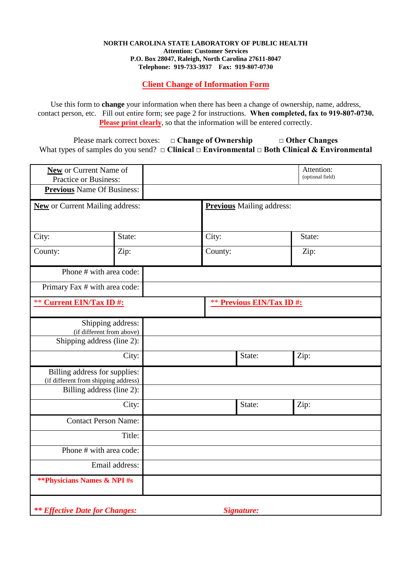## **NORTH CAROLINA STATE LABORATORY OF PUBLIC HEALTH Attention: Customer Services P.O. Box 28047, Raleigh, North Carolina 27611-8047 Telephone: 919-733-3937 Fax: 919-807-0730**

**Client Change of Information Form**

Use this form to **change** your information when there has been a change of ownership, name, address, contact person, etc. Fill out entire form; see page 2 for instructions. **When completed, fax to 919-807-0730. Please print clearly**, so that the information will be entered correctly.

Please mark correct boxes: □ Change of Ownership □ Other Changes What types of samples do you send? **□ Clinical □ Environmental □ Both Clinical & Environmental** 

| <b>New</b> or Current Name of<br><b>Practice or Business:</b>         |        |  |                                  |        | Attention:<br>(optional field) |  |
|-----------------------------------------------------------------------|--------|--|----------------------------------|--------|--------------------------------|--|
| <b>Previous</b> Name Of Business:                                     |        |  |                                  |        |                                |  |
| <b>New</b> or Current Mailing address:                                |        |  | <b>Previous</b> Mailing address: |        |                                |  |
|                                                                       |        |  |                                  |        |                                |  |
| City:                                                                 | State: |  | City:                            |        | State:                         |  |
| County:                                                               | Zip:   |  | County:                          |        | Zip:                           |  |
| Phone # with area code:                                               |        |  |                                  |        |                                |  |
| Primary Fax # with area code:                                         |        |  |                                  |        |                                |  |
| <b>** Current EIN/Tax ID#:</b>                                        |        |  | <b>** Previous EIN/Tax ID#:</b>  |        |                                |  |
| Shipping address:<br>(if different from above)                        |        |  |                                  |        |                                |  |
| Shipping address (line 2):                                            |        |  |                                  |        |                                |  |
| City:                                                                 |        |  |                                  | State: | Zip:                           |  |
| Billing address for supplies:<br>(if different from shipping address) |        |  |                                  |        |                                |  |
| Billing address (line 2):                                             |        |  |                                  |        |                                |  |
| City:                                                                 |        |  |                                  | State: | Zip:                           |  |
| <b>Contact Person Name:</b>                                           |        |  |                                  |        |                                |  |
| Title:                                                                |        |  |                                  |        |                                |  |
| Phone # with area code:                                               |        |  |                                  |        |                                |  |
| Email address:                                                        |        |  |                                  |        |                                |  |
| <b>**Physicians Names &amp; NPI#s</b>                                 |        |  |                                  |        |                                |  |
| <b>**</b> Effective Date for Changes:                                 |        |  | Signature:                       |        |                                |  |